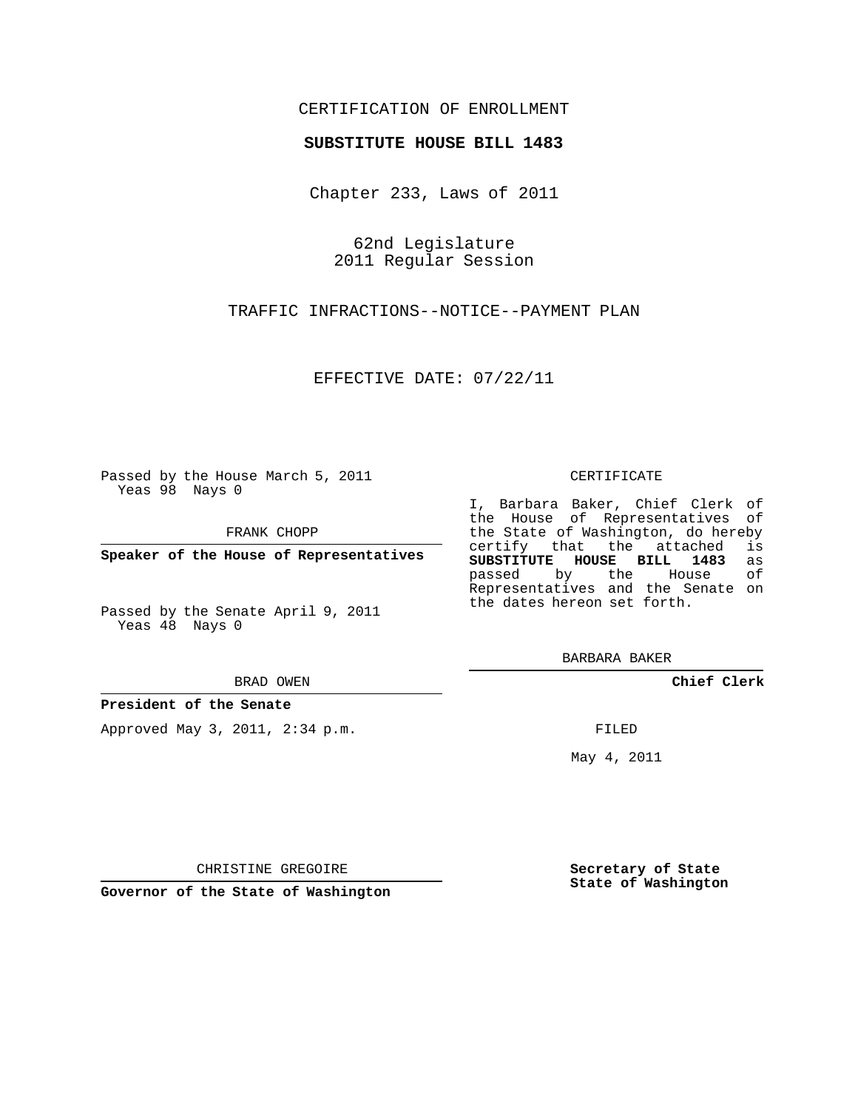## CERTIFICATION OF ENROLLMENT

### **SUBSTITUTE HOUSE BILL 1483**

Chapter 233, Laws of 2011

62nd Legislature 2011 Regular Session

TRAFFIC INFRACTIONS--NOTICE--PAYMENT PLAN

EFFECTIVE DATE: 07/22/11

Passed by the House March 5, 2011 Yeas 98 Nays 0

FRANK CHOPP

**Speaker of the House of Representatives**

Passed by the Senate April 9, 2011 Yeas 48 Nays 0

#### BRAD OWEN

### **President of the Senate**

Approved May 3, 2011, 2:34 p.m.

#### CERTIFICATE

I, Barbara Baker, Chief Clerk of the House of Representatives of the State of Washington, do hereby<br>certify that the attached is certify that the attached **SUBSTITUTE HOUSE BILL 1483** as passed by the House of Representatives and the Senate on the dates hereon set forth.

BARBARA BAKER

**Chief Clerk**

FILED

May 4, 2011

**Secretary of State State of Washington**

CHRISTINE GREGOIRE

**Governor of the State of Washington**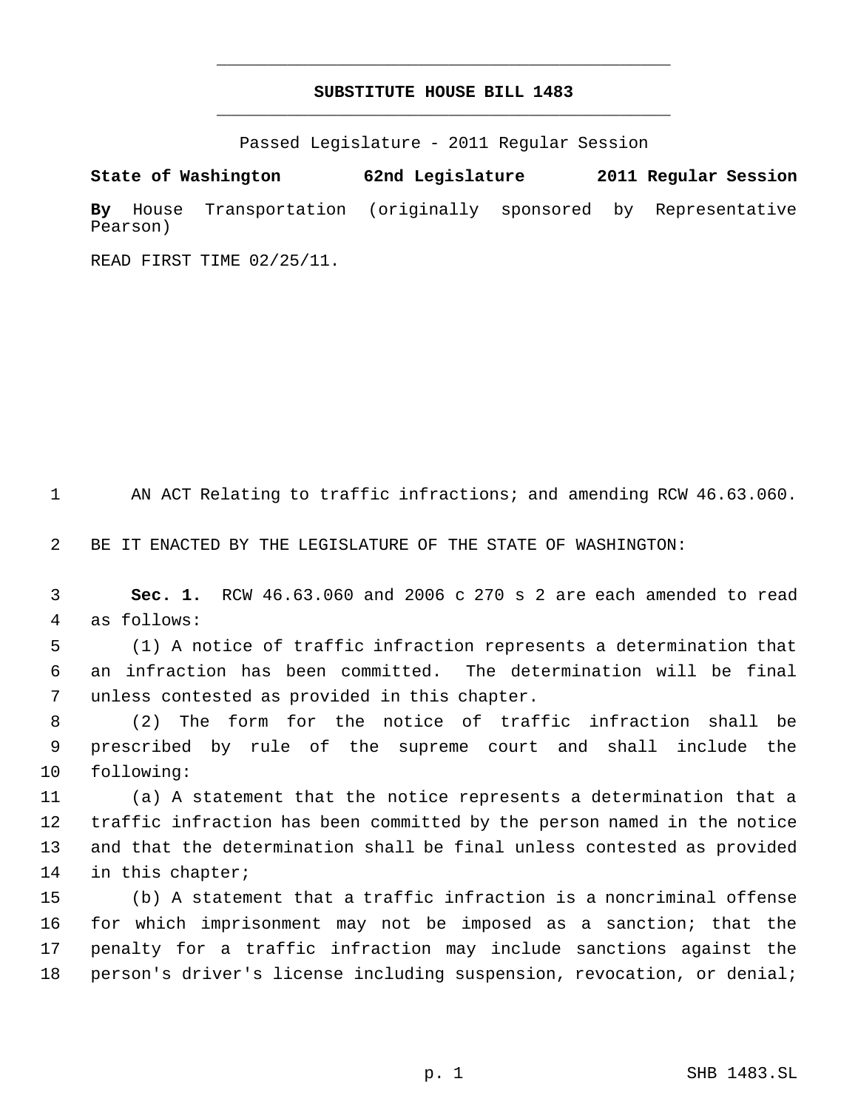# **SUBSTITUTE HOUSE BILL 1483** \_\_\_\_\_\_\_\_\_\_\_\_\_\_\_\_\_\_\_\_\_\_\_\_\_\_\_\_\_\_\_\_\_\_\_\_\_\_\_\_\_\_\_\_\_

\_\_\_\_\_\_\_\_\_\_\_\_\_\_\_\_\_\_\_\_\_\_\_\_\_\_\_\_\_\_\_\_\_\_\_\_\_\_\_\_\_\_\_\_\_

Passed Legislature - 2011 Regular Session

**State of Washington 62nd Legislature 2011 Regular Session By** House Transportation (originally sponsored by Representative Pearson)

READ FIRST TIME 02/25/11.

AN ACT Relating to traffic infractions; and amending RCW 46.63.060.

BE IT ENACTED BY THE LEGISLATURE OF THE STATE OF WASHINGTON:

 **Sec. 1.** RCW 46.63.060 and 2006 c 270 s 2 are each amended to read as follows:

 (1) A notice of traffic infraction represents a determination that an infraction has been committed. The determination will be final unless contested as provided in this chapter.

 (2) The form for the notice of traffic infraction shall be prescribed by rule of the supreme court and shall include the following:

 (a) A statement that the notice represents a determination that a traffic infraction has been committed by the person named in the notice and that the determination shall be final unless contested as provided in this chapter;

 (b) A statement that a traffic infraction is a noncriminal offense for which imprisonment may not be imposed as a sanction; that the penalty for a traffic infraction may include sanctions against the person's driver's license including suspension, revocation, or denial;